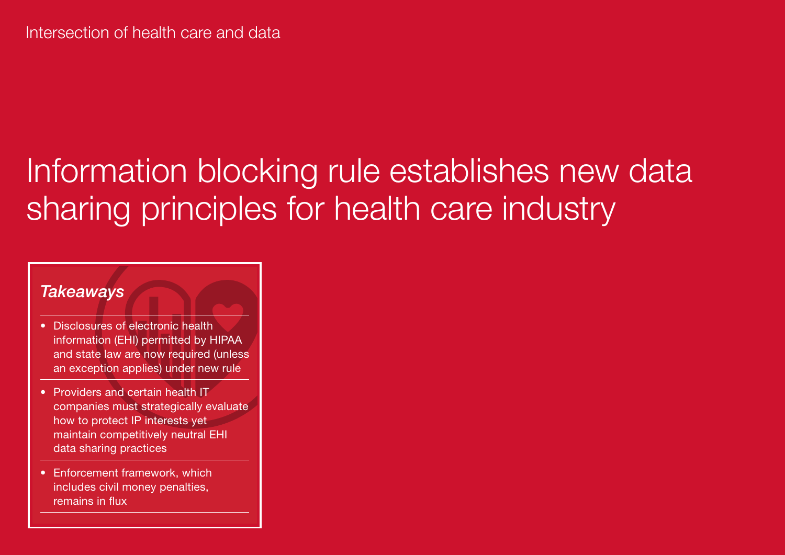# Information blocking rule establishes new data sharing principles for health care industry

# *Takeaways*

- Disclosures of electronic health information (EHI) permitted by HIPAA and state law are now required (unless an exception applies) under new rule
- Providers and certain health IT companies must strategically evaluate how to protect IP interests yet maintain competitively neutral EHI data sharing practices
- Enforcement framework, which includes civil money penalties, remains in flux

24 Reed Smith Outlook | U.S. Health Care 2021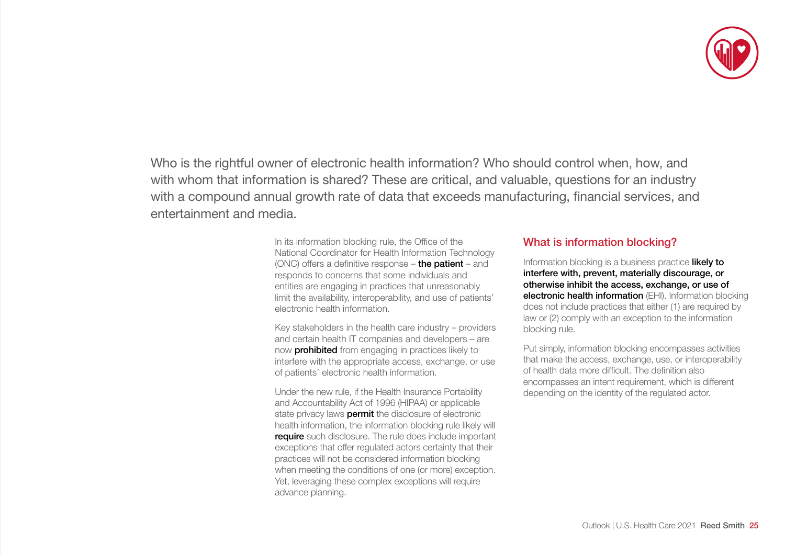

Who is the rightful owner of electronic health information? Who should control when, how, and with whom that information is shared? These are critical, and valuable, questions for an industry with a compound annual growth rate of data that exceeds manufacturing, financial services, and entertainment and media.

> In its information blocking rule, the Office of the National Coordinator for Health Information Technology (ONC) offers a definitive response – the patient – and responds to concerns that some individuals and entities are engaging in practices that unreasonably limit the availability, interoperability, and use of patients' electronic health information.

Key stakeholders in the health care industry – providers and certain health IT companies and developers – are now **prohibited** from engaging in practices likely to interfere with the appropriate access, exchange, or use of patients' electronic health information.

Under the new rule, if the Health Insurance Portability and Accountability Act of 1996 (HIPAA) or applicable state privacy laws **permit** the disclosure of electronic health information, the information blocking rule likely will **require** such disclosure. The rule does include important exceptions that offer regulated actors certainty that their practices will not be considered information blocking when meeting the conditions of one (or more) exception. Yet, leveraging these complex exceptions will require advance planning.

## What is information blocking?

Information blocking is a business practice likely to interfere with, prevent, materially discourage, or otherwise inhibit the access, exchange, or use of electronic health information (EHI). Information blocking does not include practices that either (1) are required by law or (2) comply with an exception to the information blocking rule.

Put simply, information blocking encompasses activities that make the access, exchange, use, or interoperability of health data more difficult. The definition also encompasses an intent requirement, which is different depending on the identity of the regulated actor.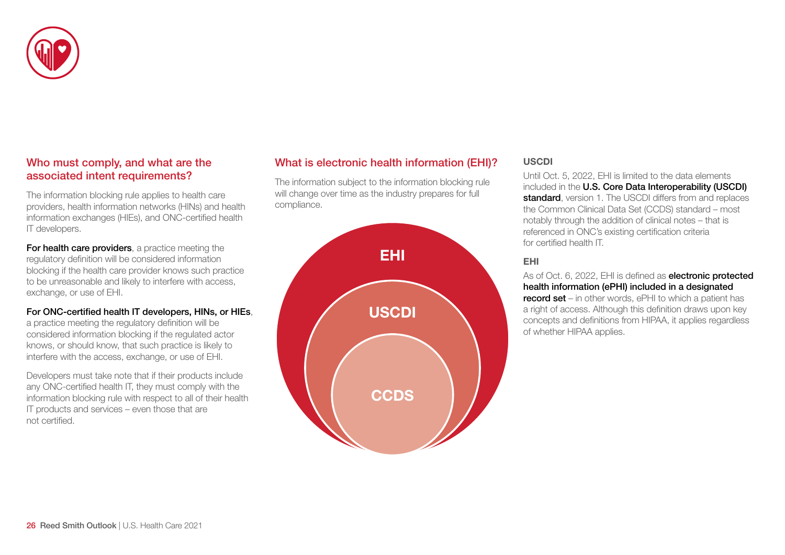

# Who must comply, and what are the associated intent requirements?

The information blocking rule applies to health care providers, health information networks (HINs) and health information exchanges (HIEs), and ONC-certified health IT developers.

For health care providers, a practice meeting the regulatory definition will be considered information blocking if the health care provider knows such practice to be unreasonable and likely to interfere with access, exchange, or use of EHI.

#### For ONC-certified health IT developers, HINs, or HIEs,

a practice meeting the regulatory definition will be considered information blocking if the regulated actor knows, or should know, that such practice is likely to interfere with the access, exchange, or use of EHI.

Developers must take note that if their products include any ONC-certified health IT, they must comply with the information blocking rule with respect to all of their health IT products and services – even those that are not certified.

# What is electronic health information (EHI)?

The information subject to the information blocking rule will change over time as the industry prepares for full compliance.



### USCDI

Until Oct. 5, 2022, EHI is limited to the data elements included in the U.S. Core Data Interoperability (USCDI) standard, version 1. The USCDI differs from and replaces the Common Clinical Data Set (CCDS) standard – most notably through the addition of clinical notes – that is referenced in ONC's existing certification criteria for certified health IT

#### EHI

As of Oct. 6, 2022, EHI is defined as **electronic protected** health information (ePHI) included in a designated record set – in other words, ePHI to which a patient has a right of access. Although this definition draws upon key concepts and definitions from HIPAA, it applies regardless of whether HIPAA applies.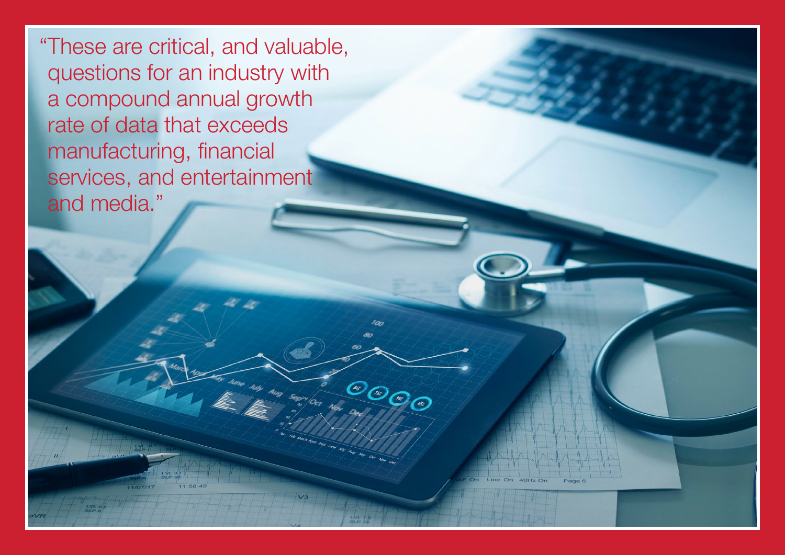"These are critical, and valuable, questions for an industry with a compound annual growth rate of data that exceeds manufacturing, financial services, and entertainment and media."

<sup>C</sup> C C C

Aug septe or Nov

Outlook | U.S. Health Care 2021 Reed Smith 27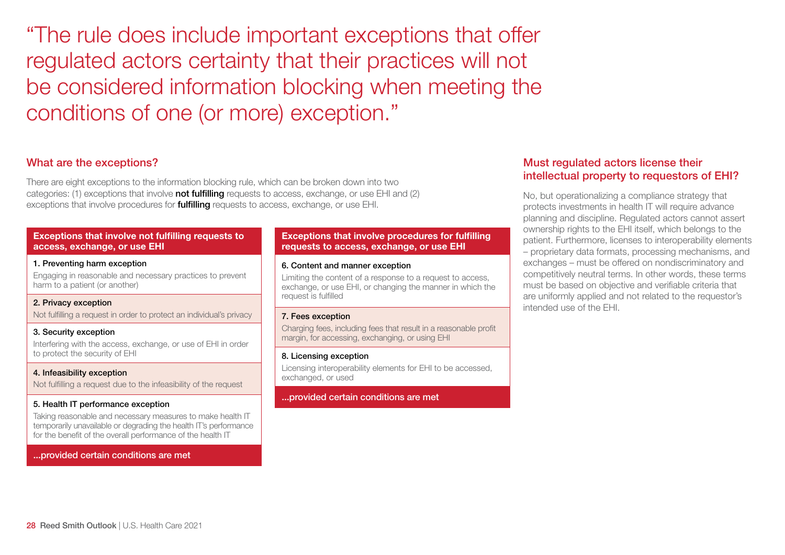"The rule does include important exceptions that offer regulated actors certainty that their practices will not be considered information blocking when meeting the conditions of one (or more) exception."

# What are the exceptions?

There are eight exceptions to the information blocking rule, which can be broken down into two categories: (1) exceptions that involve **not fulfilling** requests to access, exchange, or use EHI and (2) exceptions that involve procedures for **fulfilling** requests to access, exchange, or use EHI.

#### Exceptions that involve not fulfilling requests to access, exchange, or use EHI

#### 1. Preventing harm exception

Engaging in reasonable and necessary practices to prevent harm to a patient (or another)

#### 2. Privacy exception

Not fulfilling a request in order to protect an individual's privacy

#### 3. Security exception

Interfering with the access, exchange, or use of EHI in order to protect the security of EHI

#### 4. Infeasibility exception

Not fulfilling a request due to the infeasibility of the request

#### 5. Health IT performance exception

Taking reasonable and necessary measures to make health IT temporarily unavailable or degrading the health IT's performance for the benefit of the overall performance of the health IT

#### ...provided certain conditions are met

#### Exceptions that involve procedures for fulfilling requests to access, exchange, or use EHI

#### 6. Content and manner exception

Limiting the content of a response to a request to access, exchange, or use EHI, or changing the manner in which the request is fulfilled

#### 7. Fees exception

Charging fees, including fees that result in a reasonable profit margin, for accessing, exchanging, or using EHI

#### 8. Licensing exception

Licensing interoperability elements for EHI to be accessed, exchanged, or used

#### ...provided certain conditions are met

## Must regulated actors license their intellectual property to requestors of EHI?

No, but operationalizing a compliance strategy that protects investments in health IT will require advance planning and discipline. Regulated actors cannot assert ownership rights to the EHI itself, which belongs to the patient. Furthermore, licenses to interoperability elements – proprietary data formats, processing mechanisms, and exchanges – must be offered on nondiscriminatory and competitively neutral terms. In other words, these terms must be based on objective and verifiable criteria that are uniformly applied and not related to the requestor's intended use of the EHI.